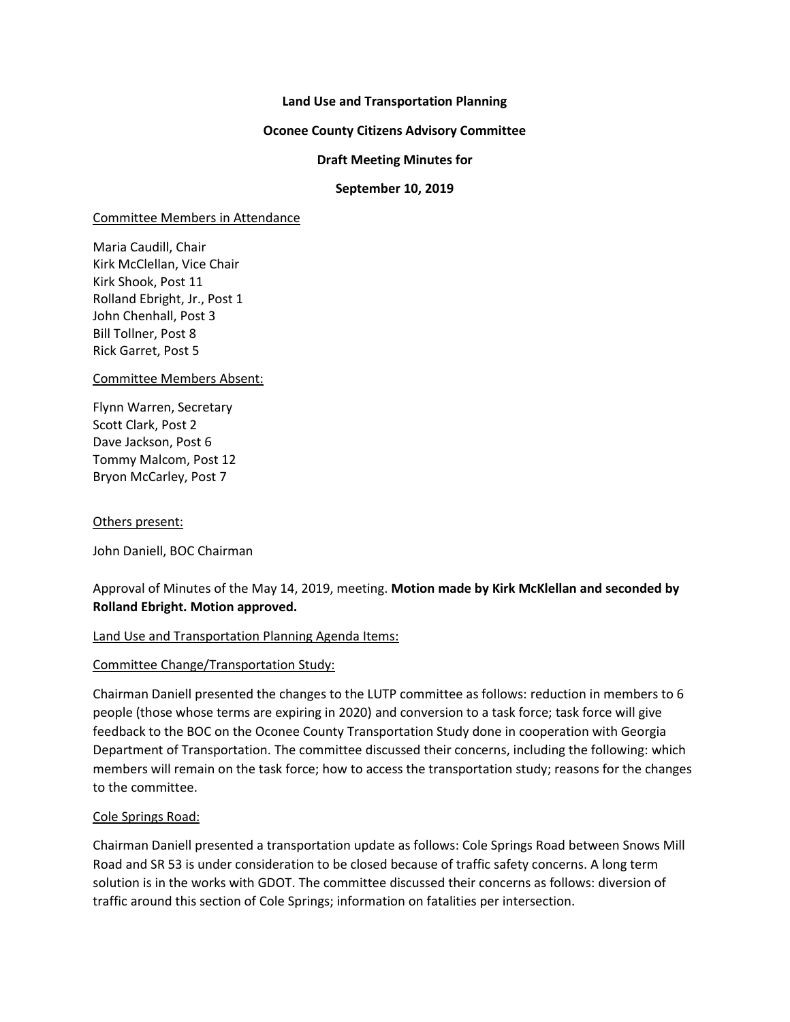## **Land Use and Transportation Planning**

## **Oconee County Citizens Advisory Committee**

## **Draft Meeting Minutes for**

## **September 10, 2019**

#### Committee Members in Attendance

Maria Caudill, Chair Kirk McClellan, Vice Chair Kirk Shook, Post 11 Rolland Ebright, Jr., Post 1 John Chenhall, Post 3 Bill Tollner, Post 8 Rick Garret, Post 5

#### Committee Members Absent:

Flynn Warren, Secretary Scott Clark, Post 2 Dave Jackson, Post 6 Tommy Malcom, Post 12 Bryon McCarley, Post 7

#### Others present:

John Daniell, BOC Chairman

# Approval of Minutes of the May 14, 2019, meeting. **Motion made by Kirk McKlellan and seconded by Rolland Ebright. Motion approved.**

#### Land Use and Transportation Planning Agenda Items:

#### Committee Change/Transportation Study:

Chairman Daniell presented the changes to the LUTP committee as follows: reduction in members to 6 people (those whose terms are expiring in 2020) and conversion to a task force; task force will give feedback to the BOC on the Oconee County Transportation Study done in cooperation with Georgia Department of Transportation. The committee discussed their concerns, including the following: which members will remain on the task force; how to access the transportation study; reasons for the changes to the committee.

#### Cole Springs Road:

Chairman Daniell presented a transportation update as follows: Cole Springs Road between Snows Mill Road and SR 53 is under consideration to be closed because of traffic safety concerns. A long term solution is in the works with GDOT. The committee discussed their concerns as follows: diversion of traffic around this section of Cole Springs; information on fatalities per intersection.